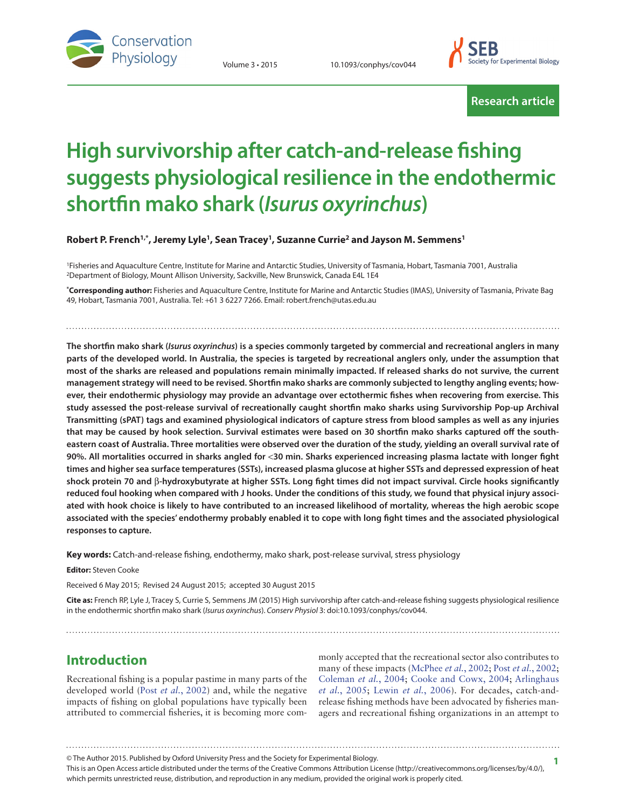

Volume 3 • 2015 10.1093/conphys/cov044



**Research article**

# **High survivorship after catch-and-release fishing suggests physiological resilience in the endothermic shortfin mako shark (***Isurus oxyrinchus***)**

**Robert P. French1,\* , Jeremy Lyle1, Sean Tracey1, Suzanne Currie2 and Jayson M. Semmens1**

1Fisheries and Aquaculture Centre, Institute for Marine and Antarctic Studies, University of Tasmania, Hobart, Tasmania 7001, Australia 2Department of Biology, Mount Allison University, Sackville, New Brunswick, Canada E4L 1E4

**\* Corresponding author:** Fisheries and Aquaculture Centre, Institute for Marine and Antarctic Studies (IMAS), University of Tasmania, Private Bag 49, Hobart, Tasmania 7001, Australia. Tel: +61 3 6227 7266. Email: robert.french@utas.edu.au

**The shortfin mako shark (***Isurus oxyrinchus***) is a species commonly targeted by commercial and recreational anglers in many parts of the developed world. In Australia, the species is targeted by recreational anglers only, under the assumption that most of the sharks are released and populations remain minimally impacted. If released sharks do not survive, the current management strategy will need to be revised. Shortfin mako sharks are commonly subjected to lengthy angling events; however, their endothermic physiology may provide an advantage over ectothermic fishes when recovering from exercise. This study assessed the post-release survival of recreationally caught shortfin mako sharks using Survivorship Pop-up Archival Transmitting (sPAT) tags and examined physiological indicators of capture stress from blood samples as well as any injuries that may be caused by hook selection. Survival estimates were based on 30 shortfin mako sharks captured off the southeastern coast of Australia. Three mortalities were observed over the duration of the study, yielding an overall survival rate of 90%. All mortalities occurred in sharks angled for** <**30 min. Sharks experienced increasing plasma lactate with longer fight times and higher sea surface temperatures (SSTs), increased plasma glucose at higher SSTs and depressed expression of heat shock protein 70 and** β**-hydroxybutyrate at higher SSTs. Long fight times did not impact survival. Circle hooks significantly reduced foul hooking when compared with J hooks. Under the conditions of this study, we found that physical injury associated with hook choice is likely to have contributed to an increased likelihood of mortality, whereas the high aerobic scope associated with the species' endothermy probably enabled it to cope with long fight times and the associated physiological responses to capture.**

**Key words:** Catch-and-release fishing, endothermy, mako shark, post-release survival, stress physiology

**Editor:** Steven Cooke

Received 6 May 2015; Revised 24 August 2015; accepted 30 August 2015

**Cite as:** French RP, Lyle J, Tracey S, Currie S, Semmens JM (2015) High survivorship after catch-and-release fishing suggests physiological resilience in the endothermic shortfin mako shark (*Isurus oxyrinchus*). *Conserv Physiol* 3: doi:10.1093/conphys/cov044.

**Introduction**

Recreational fishing is a popular pastime in many parts of the developed world (Post *et al.*[, 2002](#page-13-0)) and, while the negative impacts of fishing on global populations have typically been attributed to commercial fisheries, it is becoming more com-

monly accepted that the recreational sector also contributes to many of these impacts [\(McPhee](#page-13-1) *et al.*, 2002; Post *et al.*[, 2002;](#page-13-0) [Coleman](#page-12-0) *et al.*, 2004; [Cooke and Cowx, 2004;](#page-12-1) [Arlinghaus](#page-11-0) *et al.*[, 2005](#page-11-0); [Lewin](#page-13-2) *et al.*, 2006). For decades, catch-andrelease fishing methods have been advocated by fisheries managers and recreational fishing organizations in an attempt to

This is an Open Access article distributed under the terms of the Creative Commons Attribution License (http://creativecommons.org/licenses/by/4.0/), which permits unrestricted reuse, distribution, and reproduction in any medium, provided the original work is properly cited. © The Author 2015. Published by Oxford University Press and the Society for Experimental Biology. **1**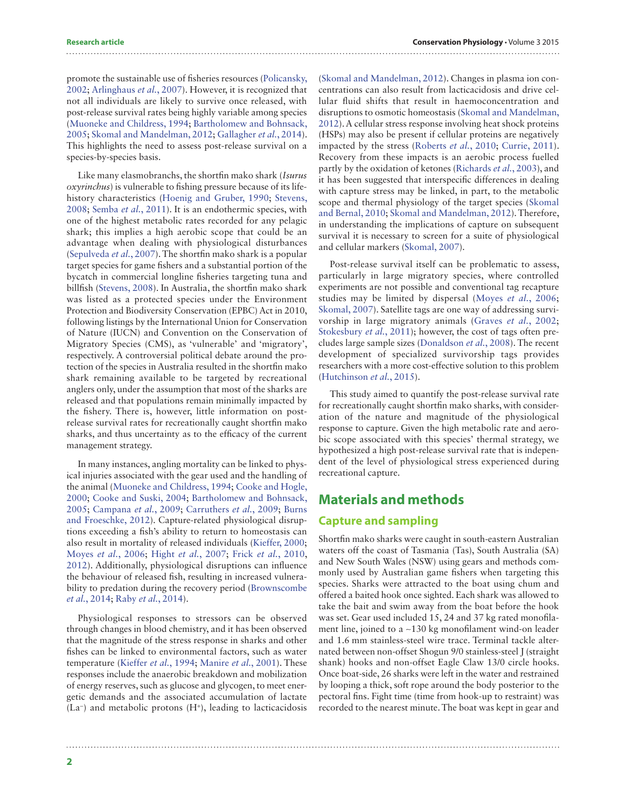promote the sustainable use of fisheries resources ([Policansky,](#page-13-3) [2002](#page-13-3); [Arlinghaus](#page-11-1) *et al.*, 2007). However, it is recognized that not all individuals are likely to survive once released, with post-release survival rates being highly variable among species [\(Muoneke and Childress, 1994;](#page-13-4) [Bartholomew and Bohnsack,](#page-11-2) [2005](#page-11-2); [Skomal and Mandelman, 2012](#page-14-0); [Gallagher](#page-12-2) *et al.*, 2014). This highlights the need to assess post-release survival on a species-by-species basis.

Like many elasmobranchs, the shortfin mako shark (*Isurus oxyrinchus*) is vulnerable to fishing pressure because of its lifehistory characteristics ([Hoenig and Gruber, 1990](#page-12-3); [Stevens,](#page-14-1) [2008](#page-14-1); [Semba](#page-13-5) *et al.*, 2011). It is an endothermic species, with one of the highest metabolic rates recorded for any pelagic shark; this implies a high aerobic scope that could be an advantage when dealing with physiological disturbances [\(Sepulveda](#page-13-6) *et al.*, 2007). The shortfin mako shark is a popular target species for game fishers and a substantial portion of the bycatch in commercial longline fisheries targeting tuna and billfish ([Stevens, 2008\)](#page-14-1). In Australia, the shortfin mako shark was listed as a protected species under the Environment Protection and Biodiversity Conservation (EPBC) Act in 2010, following listings by the International Union for Conservation of Nature (IUCN) and Convention on the Conservation of Migratory Species (CMS), as 'vulnerable' and 'migratory', respectively. A controversial political debate around the protection of the species in Australia resulted in the shortfin mako shark remaining available to be targeted by recreational anglers only, under the assumption that most of the sharks are released and that populations remain minimally impacted by the fishery. There is, however, little information on postrelease survival rates for recreationally caught shortfin mako sharks, and thus uncertainty as to the efficacy of the current management strategy.

In many instances, angling mortality can be linked to physical injuries associated with the gear used and the handling of the animal ([Muoneke and Childress, 1994](#page-13-4); [Cooke and Hogle,](#page-12-4) [2000](#page-12-4); [Cooke and Suski, 2004](#page-12-5); [Bartholomew and Bohnsack,](#page-11-2) [2005](#page-11-2); [Campana](#page-12-6) *et al.*, 2009; [Carruthers](#page-12-7) *et al.*, 2009; [Burns](#page-11-3) [and Froeschke, 2012\)](#page-11-3). Capture-related physiological disruptions exceeding a fish's ability to return to homeostasis can also result in mortality of released individuals ([Kieffer, 2000;](#page-12-8) [Moyes](#page-13-7) *et al.*, 2006; Hight *et al.*[, 2007](#page-12-9); Frick *et al.*[, 2010](#page-12-10), [2012](#page-12-11)). Additionally, physiological disruptions can influence the behaviour of released fish, resulting in increased vulnerability to predation during the recovery period [\(Brownscombe](#page-11-4) *et al.*[, 2014](#page-11-4); Raby *et al.*[, 2014](#page-13-8)).

Physiological responses to stressors can be observed through changes in blood chemistry, and it has been observed that the magnitude of the stress response in sharks and other fishes can be linked to environmental factors, such as water temperature ([Kieffer](#page-13-9) *et al.*, 1994; [Manire](#page-13-10) *et al.*, 2001). These responses include the anaerobic breakdown and mobilization of energy reserves, such as glucose and glycogen, to meet energetic demands and the associated accumulation of lactate (La−) and metabolic protons (H+), leading to lacticacidosis

([Skomal and Mandelman, 2012\)](#page-14-0). Changes in plasma ion concentrations can also result from lacticacidosis and drive cellular fluid shifts that result in haemoconcentration and disruptions to osmotic homeostasis ([Skomal and Mandelman,](#page-14-0) [2012\)](#page-14-0). A cellular stress response involving heat shock proteins (HSPs) may also be present if cellular proteins are negatively impacted by the stress [\(Roberts](#page-13-11) *et al.*, 2010; [Currie, 2011\)](#page-12-12). Recovery from these impacts is an aerobic process fuelled partly by the oxidation of ketones [\(Richards](#page-13-12) *et al.*, 2003), and it has been suggested that interspecific differences in dealing with capture stress may be linked, in part, to the metabolic scope and thermal physiology of the target species ([Skomal](#page-13-13) [and Bernal, 2010](#page-13-13); [Skomal and Mandelman, 2012](#page-14-0)). Therefore, in understanding the implications of capture on subsequent survival it is necessary to screen for a suite of physiological and cellular markers [\(Skomal, 2007](#page-13-14)).

Post-release survival itself can be problematic to assess, particularly in large migratory species, where controlled experiments are not possible and conventional tag recapture studies may be limited by dispersal ([Moyes](#page-13-7) *et al.*, 2006; [Skomal, 2007](#page-13-14)). Satellite tags are one way of addressing survivorship in large migratory animals ([Graves](#page-12-13) *et al.*, 2002; [Stokesbury](#page-14-2) *et al.*, 2011); however, the cost of tags often precludes large sample sizes [\(Donaldson](#page-12-14) *et al.*, 2008). The recent development of specialized survivorship tags provides researchers with a more cost-effective solution to this problem ([Hutchinson](#page-12-15) *et al.*, 2015).

This study aimed to quantify the post-release survival rate for recreationally caught shortfin mako sharks, with consideration of the nature and magnitude of the physiological response to capture. Given the high metabolic rate and aerobic scope associated with this species' thermal strategy, we hypothesized a high post-release survival rate that is independent of the level of physiological stress experienced during recreational capture.

# **Materials and methods**

## **Capture and sampling**

Shortfin mako sharks were caught in south-eastern Australian waters off the coast of Tasmania (Tas), South Australia (SA) and New South Wales (NSW) using gears and methods commonly used by Australian game fishers when targeting this species. Sharks were attracted to the boat using chum and offered a baited hook once sighted. Each shark was allowed to take the bait and swim away from the boat before the hook was set. Gear used included 15, 24 and 37 kg rated monofilament line, joined to a ∼130 kg monofilament wind-on leader and 1.6 mm stainless-steel wire trace. Terminal tackle alternated between non-offset Shogun 9/0 stainless-steel J (straight shank) hooks and non-offset Eagle Claw 13/0 circle hooks. Once boat-side, 26 sharks were left in the water and restrained by looping a thick, soft rope around the body posterior to the pectoral fins. Fight time (time from hook-up to restraint) was recorded to the nearest minute. The boat was kept in gear and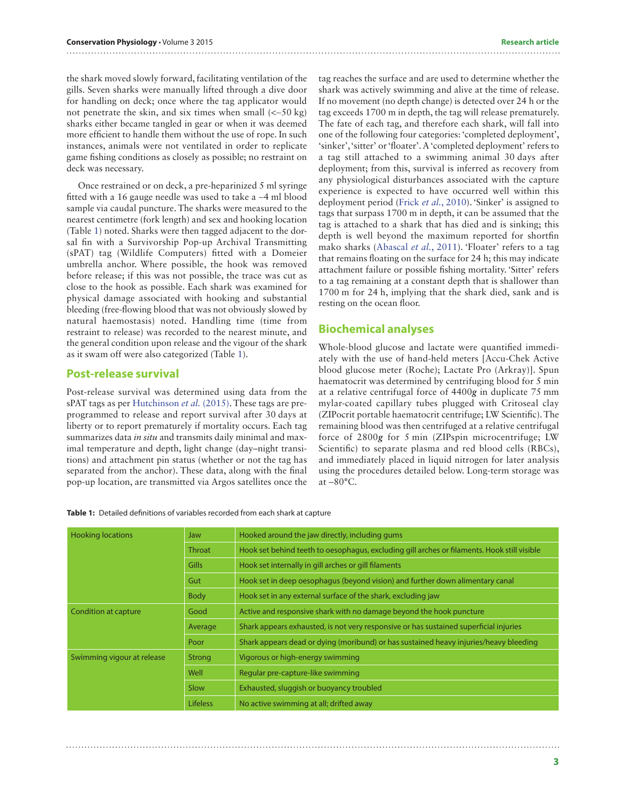the shark moved slowly forward, facilitating ventilation of the gills. Seven sharks were manually lifted through a dive door for handling on deck; once where the tag applicator would not penetrate the skin, and six times when small (<∼50 kg) sharks either became tangled in gear or when it was deemed more efficient to handle them without the use of rope. In such instances, animals were not ventilated in order to replicate game fishing conditions as closely as possible; no restraint on deck was necessary.

Once restrained or on deck, a pre-heparinized 5 ml syringe fitted with a 16 gauge needle was used to take a ∼4 ml blood sample via caudal puncture. The sharks were measured to the nearest centimetre (fork length) and sex and hooking location (Table [1\)](#page-2-0) noted. Sharks were then tagged adjacent to the dorsal fin with a Survivorship Pop-up Archival Transmitting (sPAT) tag (Wildlife Computers) fitted with a Domeier umbrella anchor. Where possible, the hook was removed before release; if this was not possible, the trace was cut as close to the hook as possible. Each shark was examined for physical damage associated with hooking and substantial bleeding (free-flowing blood that was not obviously slowed by natural haemostasis) noted. Handling time (time from restraint to release) was recorded to the nearest minute, and the general condition upon release and the vigour of the shark as it swam off were also categorized (Table [1](#page-2-0)).

### **Post-release survival**

Post-release survival was determined using data from the sPAT tags as per [Hutchinson](#page-12-15) *et al.* (2015). These tags are preprogrammed to release and report survival after 30 days at liberty or to report prematurely if mortality occurs. Each tag summarizes data *in situ* and transmits daily minimal and maximal temperature and depth, light change (day–night transitions) and attachment pin status (whether or not the tag has separated from the anchor). These data, along with the final pop-up location, are transmitted via Argos satellites once the tag reaches the surface and are used to determine whether the shark was actively swimming and alive at the time of release. If no movement (no depth change) is detected over 24 h or the tag exceeds 1700 m in depth, the tag will release prematurely. The fate of each tag, and therefore each shark, will fall into one of the following four categories: 'completed deployment', 'sinker', 'sitter' or 'floater'. A 'completed deployment' refers to a tag still attached to a swimming animal 30 days after deployment; from this, survival is inferred as recovery from any physiological disturbances associated with the capture experience is expected to have occurred well within this deployment period (Frick *et al.*[, 2010\)](#page-12-10). 'Sinker' is assigned to tags that surpass 1700 m in depth, it can be assumed that the tag is attached to a shark that has died and is sinking; this depth is well beyond the maximum reported for shortfin mako sharks [\(Abascal](#page-11-5) *et al.*, 2011). 'Floater' refers to a tag that remains floating on the surface for 24 h; this may indicate attachment failure or possible fishing mortality. 'Sitter' refers to a tag remaining at a constant depth that is shallower than 1700 m for 24 h, implying that the shark died, sank and is resting on the ocean floor.

#### **Biochemical analyses**

Whole-blood glucose and lactate were quantified immediately with the use of hand-held meters [Accu-Chek Active blood glucose meter (Roche); Lactate Pro (Arkray)]. Spun haematocrit was determined by centrifuging blood for 5 min at a relative centrifugal force of 4400*g* in duplicate 75 mm mylar-coated capillary tubes plugged with Critoseal clay (ZIPocrit portable haematocrit centrifuge; LW Scientific). The remaining blood was then centrifuged at a relative centrifugal force of 2800*g* for 5 min (ZIPspin microcentrifuge; LW Scientific) to separate plasma and red blood cells (RBCs), and immediately placed in liquid nitrogen for later analysis using the procedures detailed below. Long-term storage was  $at - 80^{\circ}$ C.

<span id="page-2-0"></span>

|  |  |  |  |  | Table 1: Detailed definitions of variables recorded from each shark at capture |
|--|--|--|--|--|--------------------------------------------------------------------------------|
|--|--|--|--|--|--------------------------------------------------------------------------------|

| <b>Hooking locations</b>   | Jaw             | Hooked around the jaw directly, including gums                                              |  |  |  |  |
|----------------------------|-----------------|---------------------------------------------------------------------------------------------|--|--|--|--|
|                            | <b>Throat</b>   | Hook set behind teeth to oesophagus, excluding gill arches or filaments. Hook still visible |  |  |  |  |
|                            | <b>Gills</b>    | Hook set internally in gill arches or gill filaments                                        |  |  |  |  |
|                            | Gut             | Hook set in deep oesophagus (beyond vision) and further down alimentary canal               |  |  |  |  |
|                            | <b>Body</b>     | Hook set in any external surface of the shark, excluding jaw                                |  |  |  |  |
| Condition at capture       | Good            | Active and responsive shark with no damage beyond the hook puncture                         |  |  |  |  |
|                            | Average         | Shark appears exhausted, is not very responsive or has sustained superficial injuries       |  |  |  |  |
|                            | Poor            | Shark appears dead or dying (moribund) or has sustained heavy injuries/heavy bleeding       |  |  |  |  |
| Swimming vigour at release | Strong          | Vigorous or high-energy swimming                                                            |  |  |  |  |
|                            | Well            | Regular pre-capture-like swimming                                                           |  |  |  |  |
|                            | Slow            | Exhausted, sluggish or buoyancy troubled                                                    |  |  |  |  |
|                            | <b>Lifeless</b> | No active swimming at all; drifted away                                                     |  |  |  |  |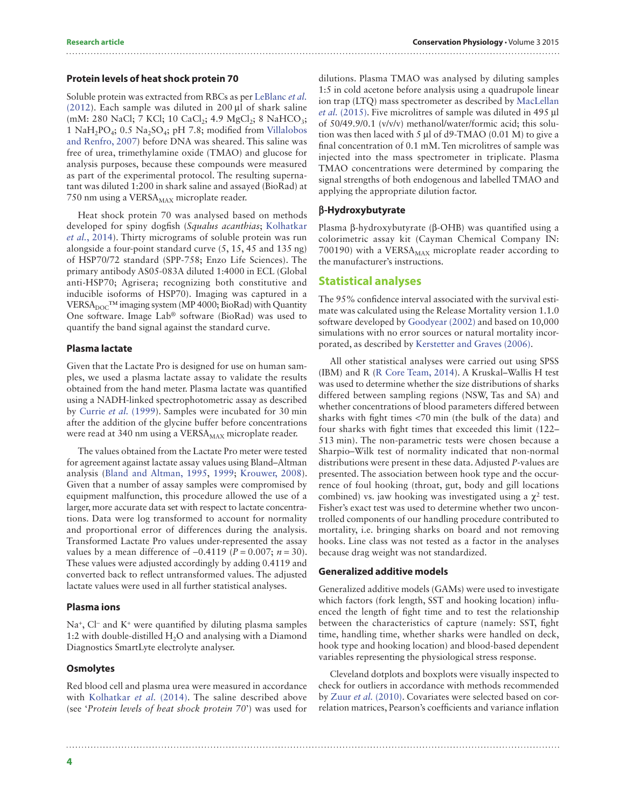#### **Protein levels of heat shock protein 70**

Soluble protein was extracted from RBCs as per [LeBlanc](#page-13-15) *et al.*  $(2012)$ . Each sample was diluted in 200 ul of shark saline (mM: 280 NaCl; 7 KCl; 10 CaCl<sub>2</sub>; 4.9 MgCl<sub>2</sub>; 8 NaHCO<sub>3</sub>; 1 NaH<sub>2</sub>PO<sub>4</sub>; 0.5 Na<sub>2</sub>SO<sub>4</sub>; pH 7.8; modified from [Villalobos](#page-14-3) [and Renfro, 2007\)](#page-14-3) before DNA was sheared. This saline was free of urea, trimethylamine oxide (TMAO) and glucose for analysis purposes, because these compounds were measured as part of the experimental protocol. The resulting supernatant was diluted 1:200 in shark saline and assayed (BioRad) at 750 nm using a VERSA<sub>MAX</sub> microplate reader.

Heat shock protein 70 was analysed based on methods developed for spiny dogfish (*Squalus acanthias*; [Kolhatkar](#page-13-16) *et al.*[, 2014](#page-13-16)). Thirty micrograms of soluble protein was run alongside a four-point standard curve (5, 15, 45 and 135 ng) of HSP70/72 standard (SPP-758; Enzo Life Sciences). The primary antibody AS05-083A diluted 1:4000 in ECL (Global anti-HSP70; Agrisera; recognizing both constitutive and inducible isoforms of HSP70). Imaging was captured in a VERSA<sub>DOC</sub>™ imaging system (MP 4000; BioRad) with Quantity One software. Image Lab® software (BioRad) was used to quantify the band signal against the standard curve.

#### **Plasma lactate**

Given that the Lactate Pro is designed for use on human samples, we used a plasma lactate assay to validate the results obtained from the hand meter. Plasma lactate was quantified using a NADH-linked spectrophotometric assay as described by [Currie](#page-12-16) *et al.* (1999). Samples were incubated for 30 min after the addition of the glycine buffer before concentrations were read at 340 nm using a VERSA<sub>MAX</sub> microplate reader.

The values obtained from the Lactate Pro meter were tested for agreement against lactate assay values using Bland–Altman analysis ([Bland and Altman, 1995,](#page-11-6) [1999;](#page-11-7) [Krouwer, 2008](#page-13-17)). Given that a number of assay samples were compromised by equipment malfunction, this procedure allowed the use of a larger, more accurate data set with respect to lactate concentrations. Data were log transformed to account for normality and proportional error of differences during the analysis. Transformed Lactate Pro values under-represented the assay values by a mean difference of  $-0.4119$  (*P* = 0.007; *n* = 30). These values were adjusted accordingly by adding 0.4119 and converted back to reflect untransformed values. The adjusted lactate values were used in all further statistical analyses.

#### **Plasma ions**

Na+, Cl− and K+ were quantified by diluting plasma samples 1:2 with double-distilled  $H_2O$  and analysing with a Diamond Diagnostics SmartLyte electrolyte analyser.

#### **Osmolytes**

Red blood cell and plasma urea were measured in accordance with [Kolhatkar](#page-13-16) *et al.* (2014). The saline described above (see '*Protein levels of heat shock protein 70*') was used for

dilutions. Plasma TMAO was analysed by diluting samples 1:5 in cold acetone before analysis using a quadrupole linear ion trap (LTQ) mass spectrometer as described by [MacLellan](#page-13-18) *et al.* [\(2015\)](#page-13-18). Five microlitres of sample was diluted in 495 µl of 50/49.9/0.1 (v/v/v) methanol/water/formic acid; this solution was then laced with 5 µl of d9-TMAO (0.01 M) to give a final concentration of 0.1 mM. Ten microlitres of sample was injected into the mass spectrometer in triplicate. Plasma TMAO concentrations were determined by comparing the signal strengths of both endogenous and labelled TMAO and applying the appropriate dilution factor.

#### **β-Hydroxybutyrate**

Plasma β-hydroxybutyrate (β-OHB) was quantified using a colorimetric assay kit (Cayman Chemical Company IN: 700190) with a VERS $A_{MAX}$  microplate reader according to the manufacturer's instructions.

#### **Statistical analyses**

The 95% confidence interval associated with the survival estimate was calculated using the Release Mortality version 1.1.0 software developed by [Goodyear \(2002\)](#page-12-17) and based on 10,000 simulations with no error sources or natural mortality incorporated, as described by [Kerstetter and Graves \(2006\)](#page-12-18).

All other statistical analyses were carried out using SPSS (IBM) and R ([R Core Team, 2014\)](#page-13-19). A Kruskal–Wallis H test was used to determine whether the size distributions of sharks differed between sampling regions (NSW, Tas and SA) and whether concentrations of blood parameters differed between sharks with fight times <70 min (the bulk of the data) and four sharks with fight times that exceeded this limit (122– 513 min). The non-parametric tests were chosen because a Sharpio–Wilk test of normality indicated that non-normal distributions were present in these data. Adjusted *P*-values are presented. The association between hook type and the occurrence of foul hooking (throat, gut, body and gill locations combined) vs. jaw hooking was investigated using a  $\chi^2$  test. Fisher's exact test was used to determine whether two uncontrolled components of our handling procedure contributed to mortality, i.e. bringing sharks on board and not removing hooks. Line class was not tested as a factor in the analyses because drag weight was not standardized.

#### **Generalized additive models**

Generalized additive models (GAMs) were used to investigate which factors (fork length, SST and hooking location) influenced the length of fight time and to test the relationship between the characteristics of capture (namely: SST, fight time, handling time, whether sharks were handled on deck, hook type and hooking location) and blood-based dependent variables representing the physiological stress response.

Cleveland dotplots and boxplots were visually inspected to check for outliers in accordance with methods recommended by Zuur *et al.* [\(2010\)](#page-14-4). Covariates were selected based on correlation matrices, Pearson's coefficients and variance inflation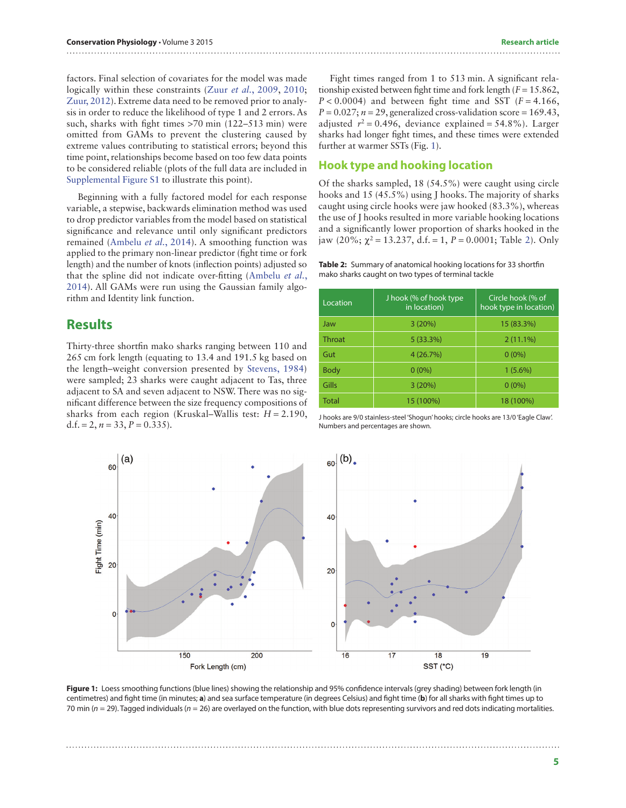factors. Final selection of covariates for the model was made logically within these constraints (Zuur *et al.*[, 2009](#page-14-5), [2010;](#page-14-4) [Zuur, 2012](#page-14-6)). Extreme data need to be removed prior to analysis in order to reduce the likelihood of type 1 and 2 errors. As such, sharks with fight times >70 min (122–513 min) were omitted from GAMs to prevent the clustering caused by extreme values contributing to statistical errors; beyond this time point, relationships become based on too few data points to be considered reliable (plots of the full data are included in [Supplemental Figure S1](http://conphys.oxfordjournals.org/lookup/suppl/doi:10.1093/conphys/cov044/-/DC1) to illustrate this point).

Beginning with a fully factored model for each response variable, a stepwise, backwards elimination method was used to drop predictor variables from the model based on statistical significance and relevance until only significant predictors remained ([Ambelu](#page-11-8) *et al.*, 2014). A smoothing function was applied to the primary non-linear predictor (fight time or fork length) and the number of knots (inflection points) adjusted so that the spline did not indicate over-fitting ([Ambelu](#page-11-8) *et al.*, [2014](#page-11-8)). All GAMs were run using the Gaussian family algorithm and Identity link function.

## **Results**

Thirty-three shortfin mako sharks ranging between 110 and 265 cm fork length (equating to 13.4 and 191.5 kg based on the length–weight conversion presented by [Stevens, 1984](#page-14-7)) were sampled; 23 sharks were caught adjacent to Tas, three adjacent to SA and seven adjacent to NSW. There was no significant difference between the size frequency compositions of sharks from each region (Kruskal–Wallis test: *H* = 2.190, d.f. = 2,  $n = 33$ ,  $P = 0.335$ ).

Fight times ranged from 1 to 513 min. A significant relationship existed between fight time and fork length  $(F = 15.862)$ ,  $P < 0.0004$ ) and between fight time and SST ( $F = 4.166$ ,  $P = 0.027$ ;  $n = 29$ , generalized cross-validation score = 169.43, adjusted  $r^2 = 0.496$ , deviance explained = 54.8%). Larger sharks had longer fight times, and these times were extended further at warmer SSTs (Fig. [1\)](#page-4-0).

### **Hook type and hooking location**

Of the sharks sampled, 18 (54.5%) were caught using circle hooks and 15 (45.5%) using J hooks. The majority of sharks caught using circle hooks were jaw hooked (83.3%), whereas the use of J hooks resulted in more variable hooking locations and a significantly lower proportion of sharks hooked in the jaw ([2](#page-4-1)0%;  $\chi^2$  = 13.237, d.f. = 1, *P* = 0.0001; Table 2). Only

<span id="page-4-1"></span>**Table 2:** Summary of anatomical hooking locations for 33 shortfin mako sharks caught on two types of terminal tackle

| Location      | J hook (% of hook type<br>in location) | Circle hook (% of<br>hook type in location) |  |  |  |
|---------------|----------------------------------------|---------------------------------------------|--|--|--|
| Jaw           | 3(20%)                                 | 15 (83.3%)                                  |  |  |  |
| <b>Throat</b> | 5(33.3%)                               | $2(11.1\%)$                                 |  |  |  |
| Gut           | 4(26.7%)                               | $0(0\%)$                                    |  |  |  |
| <b>Body</b>   | $0(0\%)$                               | $1(5.6\%)$                                  |  |  |  |
| Gills         | 3(20%)                                 | $0(0\%)$                                    |  |  |  |
| <b>Total</b>  | 15 (100%)                              | 18 (100%)                                   |  |  |  |

J hooks are 9/0 stainless-steel 'Shogun' hooks; circle hooks are 13/0 'Eagle Claw'. Numbers and percentages are shown.



<span id="page-4-0"></span>Figure 1: Loess smoothing functions (blue lines) showing the relationship and 95% confidence intervals (grey shading) between fork length (in centimetres) and fight time (in minutes; **a**) and sea surface temperature (in degrees Celsius) and fight time (**b**) for all sharks with fight times up to 70 min (*n* = 29). Tagged individuals (*n* = 26) are overlayed on the function, with blue dots representing survivors and red dots indicating mortalities.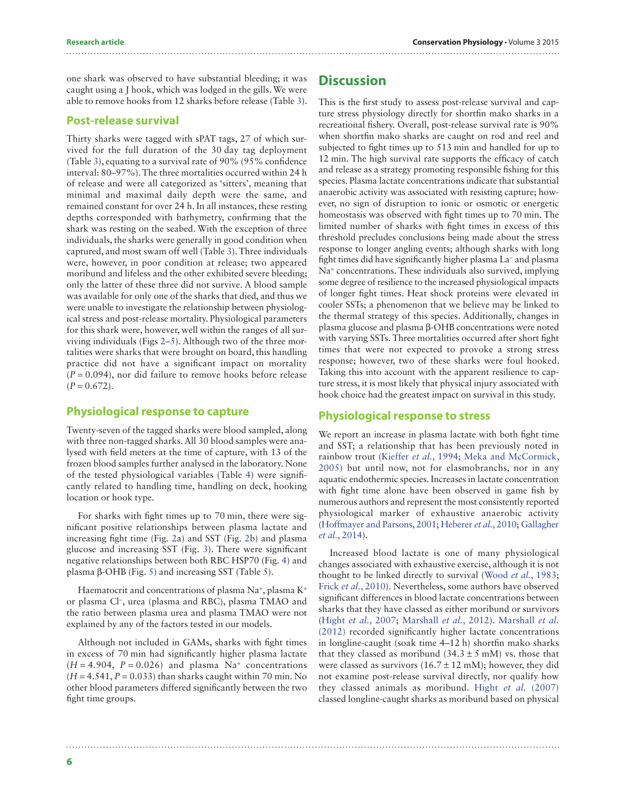one shark was observed to have substantial bleeding; it was caught using a J hook, which was lodged in the gills. We were able to remove hooks from 12 sharks before release (Table [3](#page-6-0)).

#### **Post-release survival**

Thirty sharks were tagged with sPAT tags, 27 of which survived for the full duration of the 30 day tag deployment (Table [3](#page-6-0)), equating to a survival rate of 90% (95% confidence interval: 80–97%). The three mortalities occurred within 24 h of release and were all categorized as 'sitters', meaning that minimal and maximal daily depth were the same, and remained constant for over 24 h. In all instances, these resting depths corresponded with bathymetry, confirming that the shark was resting on the seabed. With the exception of three individuals, the sharks were generally in good condition when captured, and most swam off well (Table [3\)](#page-6-0). Three individuals were, however, in poor condition at release; two appeared moribund and lifeless and the other exhibited severe bleeding; only the latter of these three did not survive. A blood sample was available for only one of the sharks that died, and thus we were unable to investigate the relationship between physiological stress and post-release mortality. Physiological parameters for this shark were, however, well within the ranges of all surviving individuals (Figs [2](#page-7-0)–[5\)](#page-8-0). Although two of the three mortalities were sharks that were brought on board, this handling practice did not have a significant impact on mortality  $(P = 0.094)$ , nor did failure to remove hooks before release  $(P = 0.672)$ .

#### **Physiological response to capture**

Twenty-seven of the tagged sharks were blood sampled, along with three non-tagged sharks. All 30 blood samples were analysed with field meters at the time of capture, with 13 of the frozen blood samples further analysed in the laboratory. None of the tested physiological variables (Table [4](#page-8-1)) were significantly related to handling time, handling on deck, hooking location or hook type.

For sharks with fight times up to 70 min, there were significant positive relationships between plasma lactate and increasing fight time (Fig. [2](#page-7-0)a) and SST (Fig. [2b](#page-7-0)) and plasma glucose and increasing SST (Fig. [3\)](#page-7-1). There were significant negative relationships between both RBC HSP70 (Fig. [4\)](#page-7-2) and plasma β-OHB (Fig. [5](#page-8-0)) and increasing SST (Table [5](#page-9-0)).

Haematocrit and concentrations of plasma Na+, plasma K+ or plasma Cl−, urea (plasma and RBC), plasma TMAO and the ratio between plasma urea and plasma TMAO were not explained by any of the factors tested in our models.

Although not included in GAMs, sharks with fight times in excess of 70 min had significantly higher plasma lactate  $(H = 4.904, P = 0.026)$  and plasma Na<sup>+</sup> concentrations  $(H = 4.541, P = 0.033)$  than sharks caught within 70 min. No other blood parameters differed significantly between the two fight time groups.

# **Discussion**

This is the first study to assess post-release survival and capture stress physiology directly for shortfin mako sharks in a recreational fishery. Overall, post-release survival rate is 90% when shortfin mako sharks are caught on rod and reel and subjected to fight times up to 513 min and handled for up to 12 min. The high survival rate supports the efficacy of catch and release as a strategy promoting responsible fishing for this species. Plasma lactate concentrations indicate that substantial anaerobic activity was associated with resisting capture; however, no sign of disruption to ionic or osmotic or energetic homeostasis was observed with fight times up to 70 min. The limited number of sharks with fight times in excess of this threshold precludes conclusions being made about the stress response to longer angling events; although sharks with long fight times did have significantly higher plasma La− and plasma Na+ concentrations. These individuals also survived, implying some degree of resilience to the increased physiological impacts of longer fight times. Heat shock proteins were elevated in cooler SSTs; a phenomenon that we believe may be linked to the thermal strategy of this species. Additionally, changes in plasma glucose and plasma β-OHB concentrations were noted with varying SSTs. Three mortalities occurred after short fight times that were not expected to provoke a strong stress response; however, two of these sharks were foul hooked. Taking this into account with the apparent resilience to capture stress, it is most likely that physical injury associated with hook choice had the greatest impact on survival in this study.

### **Physiological response to stress**

We report an increase in plasma lactate with both fight time and SST; a relationship that has been previously noted in rainbow trout [\(Kieffer](#page-13-9) *et al.*, 1994; [Meka and McCormick,](#page-13-20) [2005](#page-13-20)) but until now, not for elasmobranchs, nor in any aquatic endothermic species. Increases in lactate concentration with fight time alone have been observed in game fish by numerous authors and represent the most consistently reported physiological marker of exhaustive anaerobic activity ([Hoffmayer and Parsons, 2001](#page-12-19); [Heberer](#page-12-20) *et al.*, 2010; [Gallagher](#page-12-2) *et al.*[, 2014](#page-12-2)).

Increased blood lactate is one of many physiological changes associated with exhaustive exercise, although it is not thought to be linked directly to survival ([Wood](#page-14-8) *et al.*, 1983; Frick *et al.*[, 2010](#page-12-10)). Nevertheless, some authors have observed significant differences in blood lactate concentrations between sharks that they have classed as either moribund or survivors (Hight *et al.*[, 2007;](#page-12-9) [Marshall](#page-13-21) *et al.*, 2012). [Marshall](#page-13-21) *et al.* [\(2012\)](#page-13-21) recorded significantly higher lactate concentrations in longline-caught (soak time 4–12 h) shortfin mako sharks that they classed as moribund  $(34.3 \pm 5 \text{ mM})$  vs. those that were classed as survivors  $(16.7 \pm 12 \text{ mM})$ ; however, they did not examine post-release survival directly, nor qualify how they classed animals as moribund. Hight *et al.* [\(2007\)](#page-12-9) classed longline-caught sharks as moribund based on physical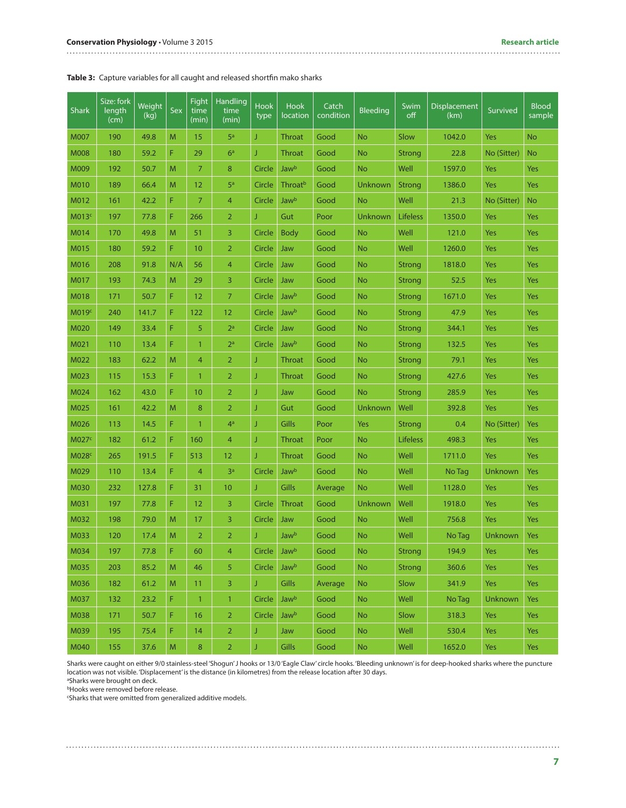#### <span id="page-6-0"></span>**Table 3:** Capture variables for all caught and released shortfin mako sharks

| <b>Shark</b>      | Size: fork<br>length<br>(cm) | Weight<br>(kg) | Sex            | Fight<br>time<br>(min) | Handling<br>time<br>(min) | <b>Hook</b><br>type | <b>Hook</b><br>location | Catch<br>condition | <b>Bleeding</b> | Swim<br>off     | Displacement<br>(km) | Survived    | <b>Blood</b><br>sample |
|-------------------|------------------------------|----------------|----------------|------------------------|---------------------------|---------------------|-------------------------|--------------------|-----------------|-----------------|----------------------|-------------|------------------------|
| M007              | 190                          | 49.8           | M              | 15                     | 5 <sup>a</sup>            | J                   | <b>Throat</b>           | Good               | <b>No</b>       | Slow            | 1042.0               | Yes         | No                     |
| <b>M008</b>       | 180                          | 59.2           | F              | 29                     | 6 <sup>a</sup>            | J                   | <b>Throat</b>           | Good               | <b>No</b>       | <b>Strong</b>   | 22.8                 | No (Sitter) | <b>No</b>              |
| M009              | 192                          | 50.7           | M              | 7                      | 8                         | Circle              | <b>Jawb</b>             | Good               | <b>No</b>       | Well            | 1597.0               | Yes         | Yes                    |
| M010              | 189                          | 66.4           | M              | 12                     | 5 <sup>a</sup>            | Circle              | Throat <sup>b</sup>     | Good               | Unknown         | <b>Strong</b>   | 1386.0               | Yes         | Yes                    |
| M012              | 161                          | 42.2           | F              | $\overline{7}$         | 4                         | Circle              | <b>Jawb</b>             | Good               | <b>No</b>       | Well            | 21.3                 | No (Sitter) | <b>No</b>              |
| M013c             | 197                          | 77.8           | F              | 266                    | $\overline{2}$            | J                   | Gut                     | Poor               | Unknown         | <b>Lifeless</b> | 1350.0               | Yes         | Yes                    |
| M014              | 170                          | 49.8           | M              | 51                     | 3                         | Circle              | <b>Body</b>             | Good               | <b>No</b>       | Well            | 121.0                | Yes         | Yes                    |
| M015              | 180                          | 59.2           | F              | 10                     | $\overline{2}$            | Circle              | Jaw                     | Good               | <b>No</b>       | Well            | 1260.0               | Yes         | Yes                    |
| M016              | 208                          | 91.8           | N/A            | 56                     | $\overline{4}$            | Circle              | Jaw                     | Good               | <b>No</b>       | <b>Strong</b>   | 1818.0               | Yes         | Yes                    |
| M017              | 193                          | 74.3           | M              | 29                     | 3                         | Circle              | Jaw                     | Good               | <b>No</b>       | <b>Strong</b>   | 52.5                 | Yes         | Yes                    |
| M018              | 171                          | 50.7           | F              | 12                     | 7                         | Circle              | Jawb                    | Good               | <b>No</b>       | <b>Strong</b>   | 1671.0               | Yes         | Yes                    |
| M019c             | 240                          | 141.7          | F              | 122                    | 12                        | Circle              | Jaw <sup>b</sup>        | Good               | <b>No</b>       | <b>Strong</b>   | 47.9                 | Yes         | Yes                    |
| M020              | 149                          | 33.4           | F              | 5                      | 2 <sup>a</sup>            | Circle              | Jaw                     | Good               | <b>No</b>       | <b>Strong</b>   | 344.1                | Yes         | Yes                    |
| M021              | 110                          | 13.4           | F              | $\mathbf{1}$           | 2 <sup>a</sup>            | Circle              | Jaw <sup>b</sup>        | Good               | <b>No</b>       | <b>Strong</b>   | 132.5                | Yes         | Yes                    |
| M022              | 183                          | 62.2           | M              | 4                      | $\overline{2}$            | J                   | Throat                  | Good               | <b>No</b>       | <b>Strong</b>   | 79.1                 | Yes         | Yes                    |
| M023              | 115                          | 15.3           | F              | $\mathbf{1}$           | $\overline{2}$            | J                   | <b>Throat</b>           | Good               | <b>No</b>       | <b>Strong</b>   | 427.6                | Yes         | Yes                    |
| M024              | 162                          | 43.0           | F              | 10                     | $\overline{2}$            | J                   | Jaw                     | Good               | <b>No</b>       | <b>Strong</b>   | 285.9                | Yes         | Yes                    |
| M025              | 161                          | 42.2           | M              | 8                      | $\overline{2}$            | J                   | Gut                     | Good               | Unknown         | Well            | 392.8                | Yes         | Yes                    |
| M026              | 113                          | 14.5           | F              | $\mathbf{1}$           | 4 <sup>a</sup>            | J                   | Gills                   | Poor               | Yes             | <b>Strong</b>   | 0.4                  | No (Sitter) | Yes                    |
| M027 <sup>c</sup> | 182                          | 61.2           | F              | 160                    | 4                         | J                   | Throat                  | Poor               | <b>No</b>       | <b>Lifeless</b> | 498.3                | Yes         | Yes                    |
| M028 <sup>c</sup> | 265                          | 191.5          | F              | 513                    | 12                        | J                   | <b>Throat</b>           | Good               | <b>No</b>       | Well            | 1711.0               | Yes         | Yes                    |
| M029              | 110                          | 13.4           | F              | 4                      | 3 <sup>a</sup>            | Circle              | <b>Jaw</b> b            | Good               | <b>No</b>       | Well            | No Tag               | Unknown     | Yes                    |
| M030              | 232                          | 127.8          | F              | 31                     | 10                        | J                   | <b>Gills</b>            | Average            | <b>No</b>       | Well            | 1128.0               | Yes         | Yes                    |
| M031              | 197                          | 77.8           | F              | 12                     | 3                         | Circle              | <b>Throat</b>           | Good               | Unknown         | Well            | 1918.0               | Yes         | Yes                    |
| M032              | 198                          | 79.0           | M              | 17                     | 3                         | Circle              | Jaw                     | Good               | <b>No</b>       | Well            | 756.8                | Yes         | Yes                    |
| M033              | 120                          | 17.4           | M              | $\overline{2}$         | $\overline{2}$            | J                   | <b>Jaw</b> b            | Good               | <b>No</b>       | Well            | No Tag               | Unknown     | Yes                    |
| M034              | 197                          | 77.8           | F              | 60                     | 4                         | Circle              | Jawb                    | Good               | No              | Strong          | 194.9                | Yes         | Yes                    |
| M035              | 203                          | 85.2           | ${\sf M}$      | 46                     | 5                         | Circle              | <b>Jawb</b>             | Good               | <b>No</b>       | Strong          | 360.6                | Yes         | <b>Yes</b>             |
| M036              | 182                          | 61.2           | M              | 11                     | $\overline{3}$            | J.                  | Gills                   | Average            | <b>No</b>       | Slow            | 341.9                | Yes         | Yes                    |
| M037              | 132                          | 23.2           | F              | $\mathbf{1}$           | $\mathbf{1}$              | Circle              | Jawb                    | Good               | <b>No</b>       | Well            | No Tag               | Unknown     | Yes                    |
| M038              | 171                          | 50.7           | F              | 16                     | $\overline{2}$            | Circle              | Jaw <sup>b</sup>        | Good               | <b>No</b>       | Slow            | 318.3                | <b>Yes</b>  | <b>Yes</b>             |
| M039              | 195                          | 75.4           | F,             | 14                     | $\overline{2}$            | J                   | Jaw                     | Good               | No              | Well            | 530.4                | Yes         | Yes                    |
| M040              | 155                          | 37.6           | $\overline{M}$ | 8                      | $\overline{2}$            | J                   | Gills                   | Good               | <b>No</b>       | Well            | 1652.0               | Yes         | Yes                    |

Sharks were caught on either 9/0 stainless-steel 'Shogun' J hooks or 13/0 'Eagle Claw' circle hooks. 'Bleeding unknown' is for deep-hooked sharks where the puncture location was not visible. 'Displacement' is the distance (in kilometres) from the release location after 30 days. <sup>a</sup>Sharks were brought on deck.

**bHooks were removed before release.** 

c Sharks that were omitted from generalized additive models.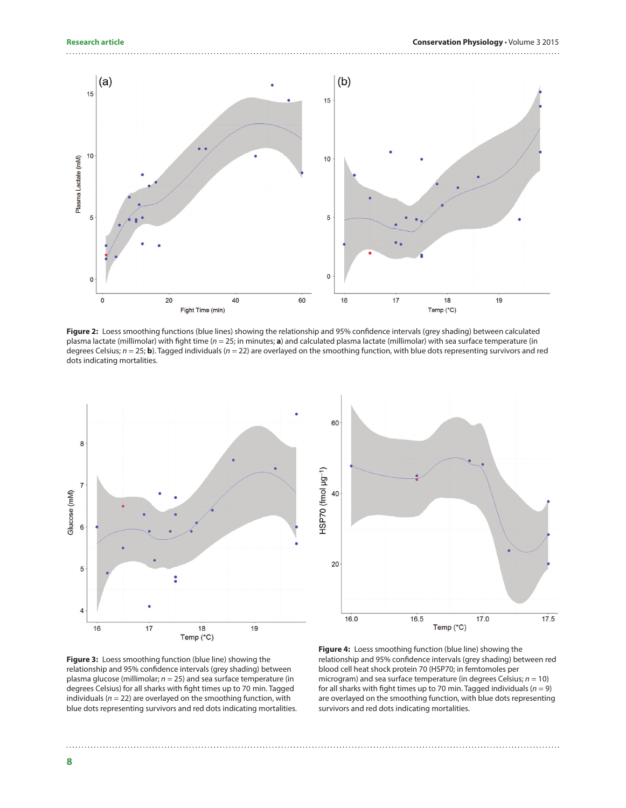

<span id="page-7-0"></span>**Figure 2:** Loess smoothing functions (blue lines) showing the relationship and 95% confidence intervals (grey shading) between calculated plasma lactate (millimolar) with fight time (*n* = 25; in minutes; **a**) and calculated plasma lactate (millimolar) with sea surface temperature (in degrees Celsius; *n* = 25; **b**). Tagged individuals (*n* = 22) are overlayed on the smoothing function, with blue dots representing survivors and red dots indicating mortalities.





<span id="page-7-1"></span>**Figure 3:** Loess smoothing function (blue line) showing the relationship and 95% confidence intervals (grey shading) between plasma glucose (millimolar; *n* = 25) and sea surface temperature (in degrees Celsius) for all sharks with fight times up to 70 min. Tagged individuals (*n* = 22) are overlayed on the smoothing function, with blue dots representing survivors and red dots indicating mortalities.

<span id="page-7-2"></span>**Figure 4:** Loess smoothing function (blue line) showing the relationship and 95% confidence intervals (grey shading) between red blood cell heat shock protein 70 (HSP70; in femtomoles per microgram) and sea surface temperature (in degrees Celsius; *n* = 10) for all sharks with fight times up to 70 min. Tagged individuals ( $n = 9$ ) are overlayed on the smoothing function, with blue dots representing survivors and red dots indicating mortalities.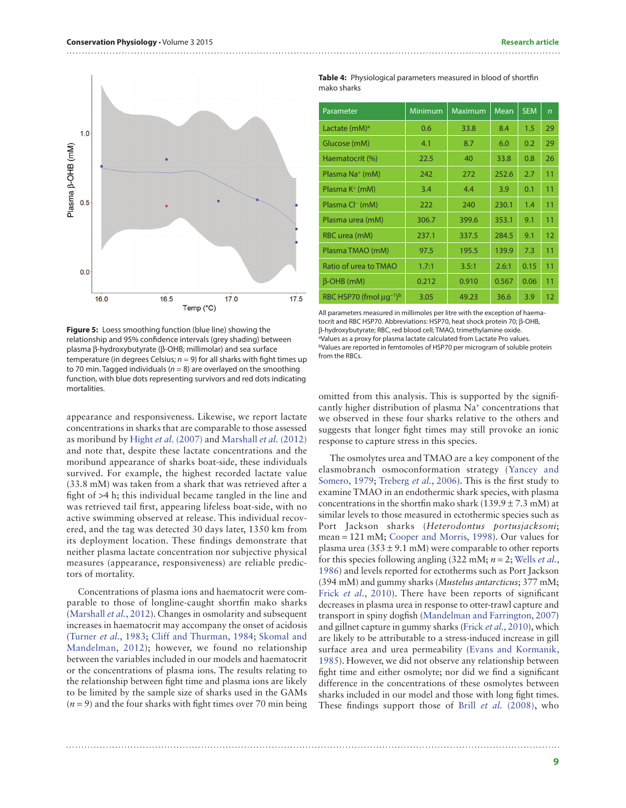

<span id="page-8-0"></span>**Figure 5:** Loess smoothing function (blue line) showing the relationship and 95% confidence intervals (grey shading) between plasma β-hydroxybutyrate (β-OHB; millimolar) and sea surface temperature (in degrees Celsius;  $n = 9$ ) for all sharks with fight times up to 70 min. Tagged individuals ( $n = 8$ ) are overlayed on the smoothing function, with blue dots representing survivors and red dots indicating mortalities.

appearance and responsiveness. Likewise, we report lactate concentrations in sharks that are comparable to those assessed as moribund by Hight *et al.* [\(2007\)](#page-12-9) and [Marshall](#page-13-21) *et al.* (2012) and note that, despite these lactate concentrations and the moribund appearance of sharks boat-side, these individuals survived. For example, the highest recorded lactate value (33.8 mM) was taken from a shark that was retrieved after a fight of >4 h; this individual became tangled in the line and was retrieved tail first, appearing lifeless boat-side, with no active swimming observed at release. This individual recovered, and the tag was detected 30 days later, 1350 km from its deployment location. These findings demonstrate that neither plasma lactate concentration nor subjective physical measures (appearance, responsiveness) are reliable predictors of mortality.

Concentrations of plasma ions and haematocrit were comparable to those of longline-caught shortfin mako sharks [\(Marshall](#page-13-21) *et al.*, 2012). Changes in osmolarity and subsequent increases in haematocrit may accompany the onset of acidosis [\(Turner](#page-14-9) *et al.*, 1983; [Cliff and Thurman, 1984](#page-12-21); [Skomal and](#page-14-0) [Mandelman, 2012\)](#page-14-0); however, we found no relationship between the variables included in our models and haematocrit or the concentrations of plasma ions. The results relating to the relationship between fight time and plasma ions are likely to be limited by the sample size of sharks used in the GAMs  $(n=9)$  and the four sharks with fight times over 70 min being

<span id="page-8-1"></span>**Table 4:** Physiological parameters measured in blood of shortfin mako sharks

| Parameter                               | Minimum | Maximum | Mean  | <b>SEM</b> | $\overline{r}$ |
|-----------------------------------------|---------|---------|-------|------------|----------------|
| Lactate (mM) <sup>a</sup>               | 0.6     | 33.8    | 8.4   | 1.5        | 29             |
| Glucose (mM)                            | 4.1     | 8.7     | 6.0   | 0.2        | 29             |
| Haematocrit (%)                         | 22.5    | 40      | 33.8  | 0.8        | 26             |
| Plasma Na <sup>+</sup> (mM)             | 242     | 272     | 252.6 | 2.7        | 11             |
| Plasma K <sup>+</sup> (mM)              | 3.4     | 4.4     | 3.9   | 0.1        | 11             |
| Plasma Cl <sup>-</sup> (mM)             | 222     | 240     | 230.1 | 1.4        | 11             |
| Plasma urea (mM)                        | 306.7   | 399.6   | 353.1 | 9.1        | 11             |
| RBC urea (mM)                           | 237.1   | 337.5   | 284.5 | 9.1        | 12             |
| Plasma TMAO (mM)                        | 97.5    | 195.5   | 139.9 | 7.3        | 11             |
| Ratio of urea to TMAO                   | 1.7:1   | 3.5:1   | 2.6:1 | 0.15       | 11             |
| $\beta$ -OHB (mM)                       | 0.212   | 0.910   | 0.567 | 0.06       | 11             |
| RBC HSP70 (fmol $\mu$ g <sup>-1)b</sup> | 3.05    | 49.23   | 36.6  | 3.9        | 12             |

All parameters measured in millimoles per litre with the exception of haematocrit and RBC HSP70. Abbreviations: HSP70, heat shock protein 70; β-OHB, β-hydroxybutyrate; RBC, red blood cell; TMAO, trimethylamine oxide. aValues as a proxy for plasma lactate calculated from Lactate Pro values. bValues are reported in femtomoles of HSP70 per microgram of soluble protein from the RBCs.

omitted from this analysis. This is supported by the significantly higher distribution of plasma Na+ concentrations that we observed in these four sharks relative to the others and suggests that longer fight times may still provoke an ionic response to capture stress in this species.

The osmolytes urea and TMAO are a key component of the elasmobranch osmoconformation strategy ([Yancey and](#page-14-10) [Somero, 1979;](#page-14-10) [Treberg](#page-14-11) *et al.*, 2006). This is the first study to examine TMAO in an endothermic shark species, with plasma concentrations in the shortfin mako shark (139.9  $\pm$  7.3 mM) at similar levels to those measured in ectothermic species such as Port Jackson sharks (*Heterodontus portusjacksoni*; mean = 121 mM; [Cooper and Morris, 1998\)](#page-12-22). Our values for plasma urea (353  $\pm$  9.1 mM) were comparable to other reports for this species following angling (322 mM; *n* = 2; [Wells](#page-14-12) *et al.*, [1986\)](#page-14-12) and levels reported for ectotherms such as Port Jackson (394 mM) and gummy sharks (*Mustelus antarcticus*; 377 mM; Frick *et al.*[, 2010](#page-12-10)). There have been reports of significant decreases in plasma urea in response to otter-trawl capture and transport in spiny dogfish [\(Mandelman and Farrington, 2007](#page-13-22)) and gillnet capture in gummy sharks (Frick *et al.*[, 2010\)](#page-12-10), which are likely to be attributable to a stress-induced increase in gill surface area and urea permeability [\(Evans and Kormanik,](#page-12-23) [1985\)](#page-12-23). However, we did not observe any relationship between fight time and either osmolyte; nor did we find a significant difference in the concentrations of these osmolytes between sharks included in our model and those with long fight times. These findings support those of Brill *et al.* [\(2008\)](#page-11-9), who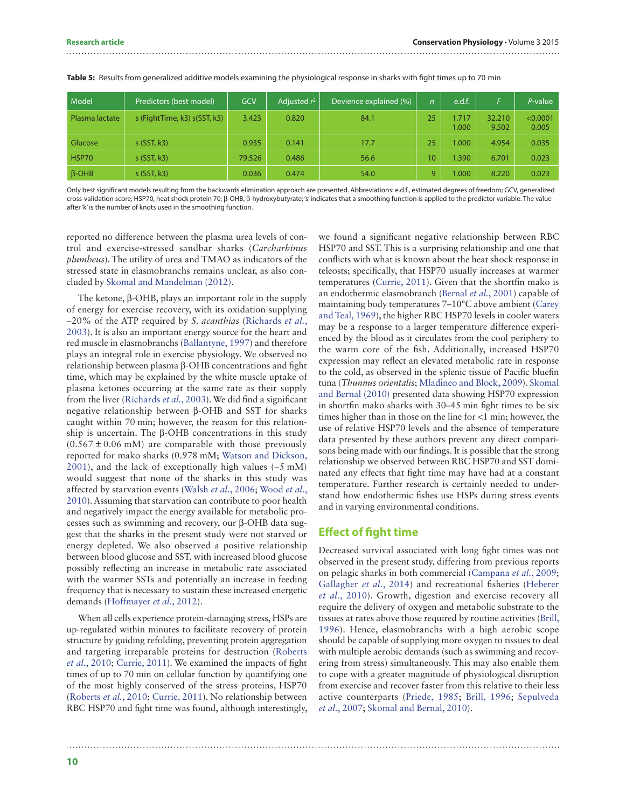| Model          | Predictors (best model)      | GCV    | Adjusted $r^2$ | Devience explained (%) | $\mathsf{n}$ | e.d.f.         | E.              | $P$ -value        |
|----------------|------------------------------|--------|----------------|------------------------|--------------|----------------|-----------------|-------------------|
| Plasma lactate | s (FightTime, k3) s(SST, k3) | 3.423  | 0.820          | 84.1                   | 25           | 1.717<br>1.000 | 32.210<br>9.502 | < 0.0001<br>0.005 |
| Glucose        | $s$ (SST, k3)                | 0.935  | 0.141          | 17.7                   | 25           | 1.000          | 4.954           | 0.035             |
| HSP70          | $s$ (SST, k3)                | 79.526 | 0.486          | 56.6                   | $10^{\circ}$ | 1.390          | 6.701           | 0.023             |
| $\beta$ -OHB   | $s$ (SST, k3)                | 0.036  | 0.474          | 54.0                   | $\mathbf Q$  | 1.000          | 8.220           | 0.023             |

<span id="page-9-0"></span>**Table 5:** Results from generalized additive models examining the physiological response in sharks with fight times up to 70 min

Only best significant models resulting from the backwards elimination approach are presented. Abbreviations: e.d.f., estimated degrees of freedom; GCV, generalized cross-validation score; HSP70, heat shock protein 70; β-OHB, β-hydroxybutyrate; 's' indicates that a smoothing function is applied to the predictor variable. The value after 'k' is the number of knots used in the smoothing function.

reported no difference between the plasma urea levels of control and exercise-stressed sandbar sharks (*Carcharhinus plumbeus*). The utility of urea and TMAO as indicators of the stressed state in elasmobranchs remains unclear, as also concluded by [Skomal and Mandelman \(2012\)](#page-14-0).

The ketone, β-OHB, plays an important role in the supply of energy for exercise recovery, with its oxidation supplying ~20% of the ATP required by *S. acanthias* [\(Richards](#page-13-12) *et al.*, [2003](#page-13-12)). It is also an important energy source for the heart and red muscle in elasmobranchs ([Ballantyne, 1997](#page-11-10)) and therefore plays an integral role in exercise physiology. We observed no relationship between plasma β-OHB concentrations and fight time, which may be explained by the white muscle uptake of plasma ketones occurring at the same rate as their supply from the liver [\(Richards](#page-13-12) *et al.*, 2003). We did find a significant negative relationship between β-OHB and SST for sharks caught within 70 min; however, the reason for this relationship is uncertain. The β-OHB concentrations in this study  $(0.567 \pm 0.06 \text{ mM})$  are comparable with those previously reported for mako sharks (0.978 mM; [Watson and Dickson,](#page-14-13) [2001\)](#page-14-13), and the lack of exceptionally high values (∼5 mM) would suggest that none of the sharks in this study was affected by starvation events [\(Walsh](#page-14-14) *et al.*, 2006; [Wood](#page-14-15) *et al.*, [2010](#page-14-15)). Assuming that starvation can contribute to poor health and negatively impact the energy available for metabolic processes such as swimming and recovery, our β-OHB data suggest that the sharks in the present study were not starved or energy depleted. We also observed a positive relationship between blood glucose and SST, with increased blood glucose possibly reflecting an increase in metabolic rate associated with the warmer SSTs and potentially an increase in feeding frequency that is necessary to sustain these increased energetic demands ([Hoffmayer](#page-12-24) *et al.*, 2012).

When all cells experience protein-damaging stress, HSPs are up-regulated within minutes to facilitate recovery of protein structure by guiding refolding, preventing protein aggregation and targeting irreparable proteins for destruction ([Roberts](#page-13-11) *et al.*[, 2010;](#page-13-11) [Currie, 2011](#page-12-12)). We examined the impacts of fight times of up to 70 min on cellular function by quantifying one of the most highly conserved of the stress proteins, HSP70 [\(Roberts](#page-13-11) *et al.*, 2010; [Currie, 2011](#page-12-12)). No relationship between RBC HSP70 and fight time was found, although interestingly,

we found a significant negative relationship between RBC HSP70 and SST. This is a surprising relationship and one that conflicts with what is known about the heat shock response in teleosts; specifically, that HSP70 usually increases at warmer temperatures ([Currie, 2011](#page-12-12)). Given that the shortfin mako is an endothermic elasmobranch ([Bernal](#page-11-11) *et al.*, 2001) capable of maintaining body temperatures 7–10°C above ambient [\(Carey](#page-12-25) [and Teal, 1969\)](#page-12-25), the higher RBC HSP70 levels in cooler waters may be a response to a larger temperature difference experienced by the blood as it circulates from the cool periphery to the warm core of the fish. Additionally, increased HSP70 expression may reflect an elevated metabolic rate in response to the cold, as observed in the splenic tissue of Pacific bluefin tuna (*Thunnus orientalis*; [Mladineo and Block, 2009](#page-13-23)). [Skomal](#page-13-13) [and Bernal \(2010\)](#page-13-13) presented data showing HSP70 expression in shortfin mako sharks with 30–45 min fight times to be six times higher than in those on the line for <1 min; however, the use of relative HSP70 levels and the absence of temperature data presented by these authors prevent any direct comparisons being made with our findings. It is possible that the strong relationship we observed between RBC HSP70 and SST dominated any effects that fight time may have had at a constant temperature. Further research is certainly needed to understand how endothermic fishes use HSPs during stress events and in varying environmental conditions.

#### **Effect of fight time**

Decreased survival associated with long fight times was not observed in the present study, differing from previous reports on pelagic sharks in both commercial [\(Campana](#page-12-6) *et al.*, 2009; [Gallagher](#page-12-2) *et al.*, 2014) and recreational fisheries ([Heberer](#page-12-20) *et al.*[, 2010](#page-12-20)). Growth, digestion and exercise recovery all require the delivery of oxygen and metabolic substrate to the tissues at rates above those required by routine activities ([Brill,](#page-11-12) [1996](#page-11-12)). Hence, elasmobranchs with a high aerobic scope should be capable of supplying more oxygen to tissues to deal with multiple aerobic demands (such as swimming and recovering from stress) simultaneously. This may also enable them to cope with a greater magnitude of physiological disruption from exercise and recover faster from this relative to their less active counterparts [\(Priede, 1985](#page-13-24); [Brill, 1996](#page-11-12); [Sepulveda](#page-13-6) *et al.*[, 2007;](#page-13-6) [Skomal and Bernal, 2010](#page-13-13)).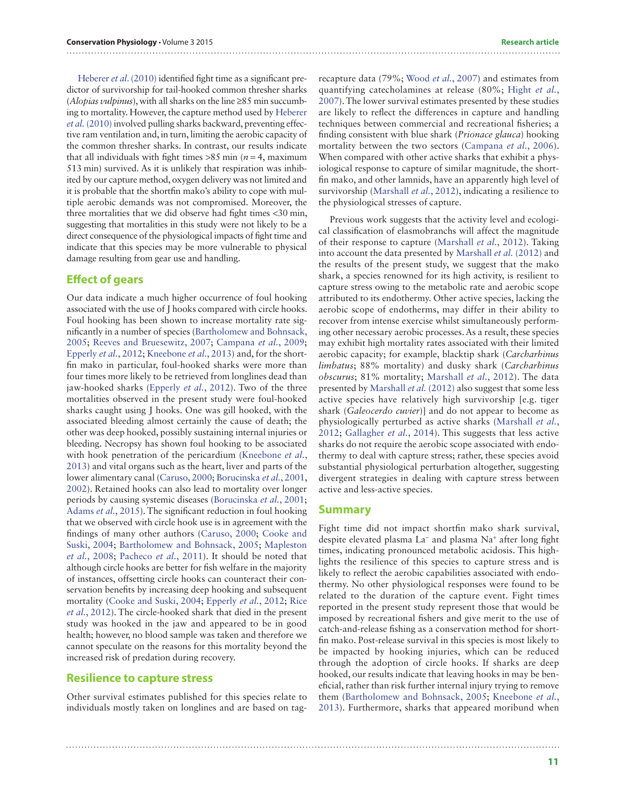[Heberer](#page-12-20) *et al*. (2010) identified fight time as a significant predictor of survivorship for tail-hooked common thresher sharks (*Alopias vulpinus*), with all sharks on the line ≥85 min succumbing to mortality. However, the capture method used by [Heberer](#page-12-20) *et al.* [\(2010\)](#page-12-20) involved pulling sharks backward, preventing effective ram ventilation and, in turn, limiting the aerobic capacity of the common thresher sharks. In contrast, our results indicate that all individuals with fight times  $>85$  min ( $n = 4$ , maximum 513 min) survived. As it is unlikely that respiration was inhibited by our capture method, oxygen delivery was not limited and it is probable that the shortfin mako's ability to cope with multiple aerobic demands was not compromised. Moreover, the three mortalities that we did observe had fight times <30 min, suggesting that mortalities in this study were not likely to be a direct consequence of the physiological impacts of fight time and indicate that this species may be more vulnerable to physical damage resulting from gear use and handling.

#### **Effect of gears**

Our data indicate a much higher occurrence of foul hooking associated with the use of J hooks compared with circle hooks. Foul hooking has been shown to increase mortality rate significantly in a number of species ([Bartholomew and Bohnsack,](#page-11-2) [2005](#page-11-2); [Reeves and Bruesewitz, 2007](#page-13-25); [Campana](#page-12-6) *et al.*, 2009; [Epperly](#page-12-26) *et al.*, 2012; [Kneebone](#page-13-26) *et al.*, 2013) and, for the shortfin mako in particular, foul-hooked sharks were more than four times more likely to be retrieved from longlines dead than jaw-hooked sharks [\(Epperly](#page-12-26) *et al.*, 2012). Two of the three mortalities observed in the present study were foul-hooked sharks caught using J hooks. One was gill hooked, with the associated bleeding almost certainly the cause of death; the other was deep hooked, possibly sustaining internal injuries or bleeding. Necropsy has shown foul hooking to be associated with hook penetration of the pericardium ([Kneebone](#page-13-26) *et al.*, [2013](#page-13-26)) and vital organs such as the heart, liver and parts of the lower alimentary canal [\(Caruso, 2000;](#page-12-27) [Borucinska](#page-11-13) *et al.*, 2001, [2002](#page-11-14)). Retained hooks can also lead to mortality over longer periods by causing systemic diseases [\(Borucinska](#page-11-13) *et al.*, 2001; [Adams](#page-11-15) *et al.*, 2015). The significant reduction in foul hooking that we observed with circle hook use is in agreement with the findings of many other authors ([Caruso, 2000;](#page-12-27) [Cooke and](#page-12-5) [Suski, 2004](#page-12-5); [Bartholomew and Bohnsack, 2005](#page-11-2); [Mapleston](#page-13-27) *et al.*[, 2008](#page-13-27); [Pacheco](#page-13-28) *et al.*, 2011). It should be noted that although circle hooks are better for fish welfare in the majority of instances, offsetting circle hooks can counteract their conservation benefits by increasing deep hooking and subsequent mortality ([Cooke and Suski, 2004;](#page-12-5) [Epperly](#page-12-26) *et al.*, 2012; [Rice](#page-13-29) *et al.*[, 2012\)](#page-13-29). The circle-hooked shark that died in the present study was hooked in the jaw and appeared to be in good health; however, no blood sample was taken and therefore we cannot speculate on the reasons for this mortality beyond the increased risk of predation during recovery.

#### **Resilience to capture stress**

Other survival estimates published for this species relate to individuals mostly taken on longlines and are based on tag-

recapture data (79%; [Wood](#page-14-16) *et al.*, 2007) and estimates from quantifying catecholamines at release (80%; [Hight](#page-12-9) *et al.*, [2007\)](#page-12-9). The lower survival estimates presented by these studies are likely to reflect the differences in capture and handling techniques between commercial and recreational fisheries; a finding consistent with blue shark (*Prionace glauca*) hooking mortality between the two sectors ([Campana](#page-11-16) *et al.*, 2006). When compared with other active sharks that exhibit a physiological response to capture of similar magnitude, the shortfin mako, and other lamnids, have an apparently high level of survivorship [\(Marshall](#page-13-21) *et al.*, 2012), indicating a resilience to the physiological stresses of capture.

Previous work suggests that the activity level and ecological classification of elasmobranchs will affect the magnitude of their response to capture [\(Marshall](#page-13-21) *et al.*, 2012). Taking into account the data presented by [Marshall](#page-13-21) *et al.* (2012) and the results of the present study, we suggest that the mako shark, a species renowned for its high activity, is resilient to capture stress owing to the metabolic rate and aerobic scope attributed to its endothermy. Other active species, lacking the aerobic scope of endotherms, may differ in their ability to recover from intense exercise whilst simultaneously performing other necessary aerobic processes. As a result, these species may exhibit high mortality rates associated with their limited aerobic capacity; for example, blacktip shark (*Carcharhinus limbatus*; 88% mortality) and dusky shark (*Carcharhinus obscurus*; 81% mortality; [Marshall](#page-13-21) *et al.*, 2012). The data presented by [Marshall](#page-13-21) *et al.* (2012) also suggest that some less active species have relatively high survivorship [e.g. tiger shark (*Galeocerdo cuvier*)] and do not appear to become as physiologically perturbed as active sharks ([Marshall](#page-13-21) *et al.*, [2012](#page-13-21); [Gallagher](#page-12-2) *et al.*, 2014). This suggests that less active sharks do not require the aerobic scope associated with endothermy to deal with capture stress; rather, these species avoid substantial physiological perturbation altogether, suggesting divergent strategies in dealing with capture stress between active and less-active species.

#### **Summary**

Fight time did not impact shortfin mako shark survival, despite elevated plasma La− and plasma Na+ after long fight times, indicating pronounced metabolic acidosis. This highlights the resilience of this species to capture stress and is likely to reflect the aerobic capabilities associated with endothermy. No other physiological responses were found to be related to the duration of the capture event. Fight times reported in the present study represent those that would be imposed by recreational fishers and give merit to the use of catch-and-release fishing as a conservation method for shortfin mako. Post-release survival in this species is most likely to be impacted by hooking injuries, which can be reduced through the adoption of circle hooks. If sharks are deep hooked, our results indicate that leaving hooks in may be beneficial, rather than risk further internal injury trying to remove them ([Bartholomew and Bohnsack, 2005](#page-11-2); [Kneebone](#page-13-26) *et al.*, [2013](#page-13-26)). Furthermore, sharks that appeared moribund when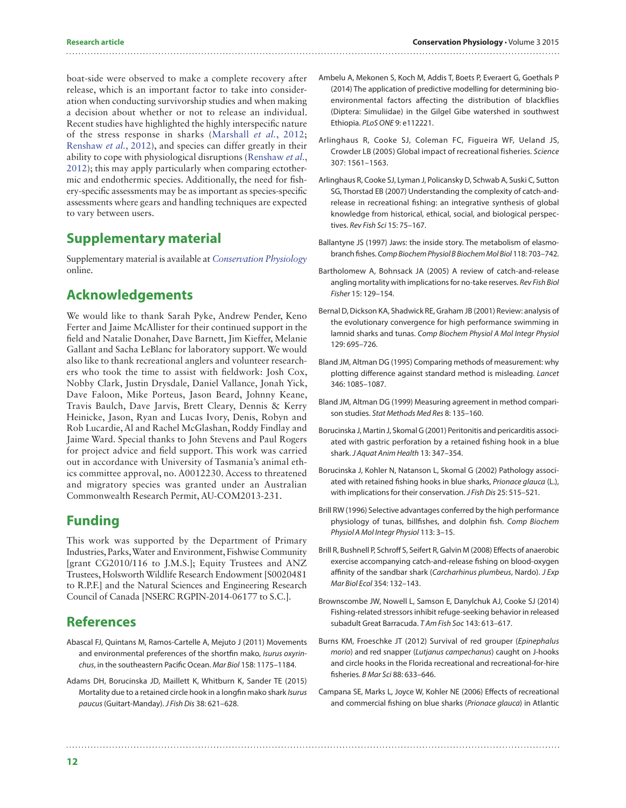boat-side were observed to make a complete recovery after release, which is an important factor to take into consideration when conducting survivorship studies and when making a decision about whether or not to release an individual. Recent studies have highlighted the highly interspecific nature of the stress response in sharks ([Marshall](#page-13-21) *et al.*, 2012; [Renshaw](#page-13-30) *et al.*, 2012), and species can differ greatly in their ability to cope with physiological disruptions [\(Renshaw](#page-13-30) *et al.*, [2012](#page-13-30)); this may apply particularly when comparing ectothermic and endothermic species. Additionally, the need for fishery-specific assessments may be as important as species-specific assessments where gears and handling techniques are expected to vary between users.

# **Supplementary material**

[Supplementary material is available at](http://conphys.oxfordjournals.org/lookup/suppl/doi:10.1093/conphys/cov044/-/DC1) *Conservation Physiology* [online.](http://conphys.oxfordjournals.org/lookup/suppl/doi:10.1093/conphys/cov044/-/DC1)

# **Acknowledgements**

We would like to thank Sarah Pyke, Andrew Pender, Keno Ferter and Jaime McAllister for their continued support in the field and Natalie Donaher, Dave Barnett, Jim Kieffer, Melanie Gallant and Sacha LeBlanc for laboratory support. We would also like to thank recreational anglers and volunteer researchers who took the time to assist with fieldwork: Josh Cox, Nobby Clark, Justin Drysdale, Daniel Vallance, Jonah Yick, Dave Faloon, Mike Porteus, Jason Beard, Johnny Keane, Travis Baulch, Dave Jarvis, Brett Cleary, Dennis & Kerry Heinicke, Jason, Ryan and Lucas Ivory, Denis, Robyn and Rob Lucardie, Al and Rachel McGlashan, Roddy Findlay and Jaime Ward. Special thanks to John Stevens and Paul Rogers for project advice and field support. This work was carried out in accordance with University of Tasmania's animal ethics committee approval, no. A0012230. Access to threatened and migratory species was granted under an Australian Commonwealth Research Permit, AU-COM2013-231.

# **Funding**

This work was supported by the Department of Primary Industries, Parks, Water and Environment, Fishwise Community [grant CG2010/116 to J.M.S.]; Equity Trustees and ANZ Trustees, Holsworth Wildlife Research Endowment [S0020481 to R.P.F.] and the Natural Sciences and Engineering Research Council of Canada [NSERC RGPIN-2014-06177 to S.C.].

# **References**

- <span id="page-11-5"></span>Abascal FJ, Quintans M, Ramos-Cartelle A, Mejuto J (2011) Movements and environmental preferences of the shortfin mako, *Isurus oxyrinchus*, in the southeastern Pacific Ocean. *Mar Biol* 158: 1175–1184.
- <span id="page-11-15"></span>Adams DH, Borucinska JD, Maillett K, Whitburn K, Sander TE (2015) Mortality due to a retained circle hook in a longfin mako shark *Isurus paucus* (Guitart-Manday). *J Fish Dis* 38: 621–628.
- <span id="page-11-8"></span>Ambelu A, Mekonen S, Koch M, Addis T, Boets P, Everaert G, Goethals P (2014) The application of predictive modelling for determining bioenvironmental factors affecting the distribution of blackflies (Diptera: Simuliidae) in the Gilgel Gibe watershed in southwest Ethiopia. *PLoS ONE* 9: e112221.
- <span id="page-11-0"></span>Arlinghaus R, Cooke SJ, Coleman FC, Figueira WF, Ueland JS, Crowder LB (2005) Global impact of recreational fisheries. *Science* 307: 1561–1563.
- <span id="page-11-1"></span>Arlinghaus R, Cooke SJ, Lyman J, Policansky D, Schwab A, Suski C, Sutton SG, Thorstad EB (2007) Understanding the complexity of catch-andrelease in recreational fishing: an integrative synthesis of global knowledge from historical, ethical, social, and biological perspectives. *Rev Fish Sci* 15: 75–167.
- <span id="page-11-10"></span>Ballantyne JS (1997) Jaws: the inside story. The metabolism of elasmobranch fishes. *Comp Biochem Physiol B Biochem Mol Biol* 118: 703–742.
- <span id="page-11-2"></span>Bartholomew A, Bohnsack JA (2005) A review of catch-and-release angling mortality with implications for no-take reserves. *Rev Fish Biol Fisher* 15: 129–154.
- <span id="page-11-11"></span>Bernal D, Dickson KA, Shadwick RE, Graham JB (2001) Review: analysis of the evolutionary convergence for high performance swimming in lamnid sharks and tunas. *Comp Biochem Physiol A Mol Integr Physiol* 129: 695–726.
- <span id="page-11-6"></span>Bland JM, Altman DG (1995) Comparing methods of measurement: why plotting difference against standard method is misleading. *Lancet* 346: 1085–1087.
- <span id="page-11-7"></span>Bland JM, Altman DG (1999) Measuring agreement in method comparison studies. *Stat Methods Med Res* 8: 135–160.
- <span id="page-11-13"></span>Borucinska J, Martin J, Skomal G (2001) Peritonitis and pericarditis associated with gastric perforation by a retained fishing hook in a blue shark. *J Aquat Anim Health* 13: 347–354.
- <span id="page-11-14"></span>Borucinska J, Kohler N, Natanson L, Skomal G (2002) Pathology associated with retained fishing hooks in blue sharks, *Prionace glauca* (L.), with implications for their conservation. *J Fish Dis* 25: 515–521.
- <span id="page-11-12"></span>Brill RW (1996) Selective advantages conferred by the high performance physiology of tunas, billfishes, and dolphin fish. *Comp Biochem Physiol A Mol Integr Physiol* 113: 3–15.
- <span id="page-11-9"></span>Brill R, Bushnell P, Schroff S, Seifert R, Galvin M (2008) Effects of anaerobic exercise accompanying catch-and-release fishing on blood-oxygen affinity of the sandbar shark (*Carcharhinus plumbeus*, Nardo). *J Exp Mar Biol Ecol* 354: 132–143.
- <span id="page-11-4"></span>Brownscombe JW, Nowell L, Samson E, Danylchuk AJ, Cooke SJ (2014) Fishing-related stressors inhibit refuge-seeking behavior in released subadult Great Barracuda. *T Am Fish Soc* 143: 613–617.
- <span id="page-11-3"></span>Burns KM, Froeschke JT (2012) Survival of red grouper (*Epinephalus morio*) and red snapper (*Lutjanus campechanus*) caught on J-hooks and circle hooks in the Florida recreational and recreational-for-hire fisheries. *B Mar Sci* 88: 633–646.
- <span id="page-11-16"></span>Campana SE, Marks L, Joyce W, Kohler NE (2006) Effects of recreational and commercial fishing on blue sharks (*Prionace glauca*) in Atlantic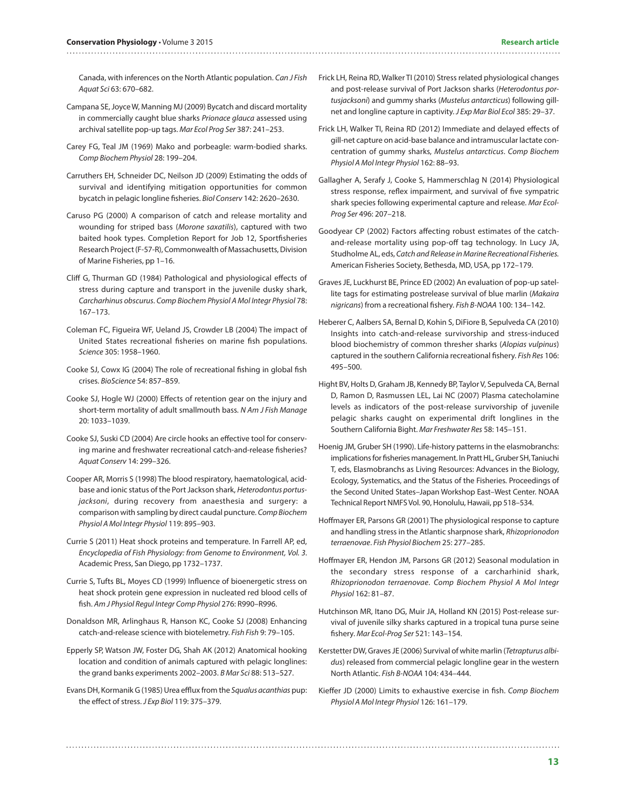Canada, with inferences on the North Atlantic population. *Can J Fish Aquat Sci* 63: 670–682.

<span id="page-12-6"></span>Campana SE, Joyce W, Manning MJ (2009) Bycatch and discard mortality in commercially caught blue sharks *Prionace glauca* assessed using archival satellite pop-up tags. *Mar Ecol Prog Ser* 387: 241–253.

- <span id="page-12-25"></span>Carey FG, Teal JM (1969) Mako and porbeagle: warm-bodied sharks. *Comp Biochem Physiol* 28: 199–204.
- <span id="page-12-7"></span>Carruthers EH, Schneider DC, Neilson JD (2009) Estimating the odds of survival and identifying mitigation opportunities for common bycatch in pelagic longline fisheries. *Biol Conserv* 142: 2620–2630.
- <span id="page-12-27"></span>Caruso PG (2000) A comparison of catch and release mortality and wounding for striped bass (*Morone saxatilis*), captured with two baited hook types. Completion Report for Job 12, Sportfisheries Research Project (F-57-R), Commonwealth of Massachusetts, Division of Marine Fisheries, pp 1–16.
- <span id="page-12-21"></span>Cliff G, Thurman GD (1984) Pathological and physiological effects of stress during capture and transport in the juvenile dusky shark, *Carcharhinus obscurus*. *Comp Biochem Physiol A Mol Integr Physiol* 78: 167–173.
- <span id="page-12-0"></span>Coleman FC, Figueira WF, Ueland JS, Crowder LB (2004) The impact of United States recreational fisheries on marine fish populations. *Science* 305: 1958–1960.
- <span id="page-12-1"></span>Cooke SJ, Cowx IG (2004) The role of recreational fishing in global fish crises. *BioScience* 54: 857–859.
- <span id="page-12-4"></span>Cooke SJ, Hogle WJ (2000) Effects of retention gear on the injury and short-term mortality of adult smallmouth bass. *N Am J Fish Manage* 20: 1033–1039.
- <span id="page-12-5"></span>Cooke SJ, Suski CD (2004) Are circle hooks an effective tool for conserving marine and freshwater recreational catch-and-release fisheries? *Aquat Conserv* 14: 299–326.
- <span id="page-12-22"></span>Cooper AR, Morris S (1998) The blood respiratory, haematological, acidbase and ionic status of the Port Jackson shark, *Heterodontus portusjacksoni*, during recovery from anaesthesia and surgery: a comparison with sampling by direct caudal puncture. *Comp Biochem Physiol A Mol Integr Physiol* 119: 895–903.
- <span id="page-12-12"></span>Currie S (2011) Heat shock proteins and temperature. In Farrell AP, ed, *Encyclopedia of Fish Physiology: from Genome to Environment, Vol. 3*. Academic Press, San Diego, pp 1732–1737.
- <span id="page-12-16"></span>Currie S, Tufts BL, Moyes CD (1999) Influence of bioenergetic stress on heat shock protein gene expression in nucleated red blood cells of fish. *Am J Physiol Regul Integr Comp Physiol* 276: R990–R996.
- <span id="page-12-14"></span>Donaldson MR, Arlinghaus R, Hanson KC, Cooke SJ (2008) Enhancing catch-and-release science with biotelemetry. *Fish Fish* 9: 79–105.
- <span id="page-12-26"></span>Epperly SP, Watson JW, Foster DG, Shah AK (2012) Anatomical hooking location and condition of animals captured with pelagic longlines: the grand banks experiments 2002–2003. *B Mar Sci* 88: 513–527.
- <span id="page-12-23"></span>Evans DH, Kormanik G (1985) Urea efflux from the *Squalus acanthias* pup: the effect of stress. *J Exp Biol* 119: 375–379.
- <span id="page-12-10"></span>Frick LH, Reina RD, Walker TI (2010) Stress related physiological changes and post-release survival of Port Jackson sharks (*Heterodontus portusjacksoni*) and gummy sharks (*Mustelus antarcticus*) following gillnet and longline capture in captivity. *J Exp Mar Biol Ecol* 385: 29–37.
- <span id="page-12-11"></span>Frick LH, Walker TI, Reina RD (2012) Immediate and delayed effects of gill-net capture on acid-base balance and intramuscular lactate concentration of gummy sharks, *Mustelus antarcticus*. *Comp Biochem Physiol A Mol Integr Physiol* 162: 88–93.
- <span id="page-12-2"></span>Gallagher A, Serafy J, Cooke S, Hammerschlag N (2014) Physiological stress response, reflex impairment, and survival of five sympatric shark species following experimental capture and release. *Mar Ecol-Prog Ser* 496: 207–218.
- <span id="page-12-17"></span>Goodyear CP (2002) Factors affecting robust estimates of the catchand-release mortality using pop-off tag technology. In Lucy JA, Studholme AL, eds, *Catch and Release in Marine Recreational Fisheries.* American Fisheries Society, Bethesda, MD, USA, pp 172–179.
- <span id="page-12-13"></span>Graves JE, Luckhurst BE, Prince ED (2002) An evaluation of pop-up satellite tags for estimating postrelease survival of blue marlin (*Makaira nigricans*) from a recreational fishery. *Fish B-NOAA* 100: 134–142.
- <span id="page-12-20"></span>Heberer C, Aalbers SA, Bernal D, Kohin S, DiFiore B, Sepulveda CA (2010) Insights into catch-and-release survivorship and stress-induced blood biochemistry of common thresher sharks (*Alopias vulpinus*) captured in the southern California recreational fishery. *Fish Res* 106: 495–500.
- <span id="page-12-9"></span>Hight BV, Holts D, Graham JB, Kennedy BP, Taylor V, Sepulveda CA, Bernal D, Ramon D, Rasmussen LEL, Lai NC (2007) Plasma catecholamine levels as indicators of the post-release survivorship of juvenile pelagic sharks caught on experimental drift longlines in the Southern California Bight. *Mar Freshwater Res* 58: 145–151.
- <span id="page-12-3"></span>Hoenig JM, Gruber SH (1990). Life-history patterns in the elasmobranchs: implications for fisheries management. In Pratt HL, Gruber SH, Taniuchi T, eds, Elasmobranchs as Living Resources: Advances in the Biology, Ecology, Systematics, and the Status of the Fisheries. Proceedings of the Second United States–Japan Workshop East–West Center. NOAA Technical Report NMFS Vol. 90, Honolulu, Hawaii, pp 518–534.
- <span id="page-12-19"></span>Hoffmayer ER, Parsons GR (2001) The physiological response to capture and handling stress in the Atlantic sharpnose shark, *Rhizoprionodon terraenovae*. *Fish Physiol Biochem* 25: 277–285.
- <span id="page-12-24"></span>Hoffmayer ER, Hendon JM, Parsons GR (2012) Seasonal modulation in the secondary stress response of a carcharhinid shark, *Rhizoprionodon terraenovae*. *Comp Biochem Physiol A Mol Integr Physiol* 162: 81–87.
- <span id="page-12-15"></span>Hutchinson MR, Itano DG, Muir JA, Holland KN (2015) Post-release survival of juvenile silky sharks captured in a tropical tuna purse seine fishery. *Mar Ecol-Prog Ser* 521: 143–154.
- <span id="page-12-18"></span>Kerstetter DW, Graves JE (2006) Survival of white marlin (*Tetrapturus albidus*) released from commercial pelagic longline gear in the western North Atlantic. *Fish B-NOAA* 104: 434–444.
- <span id="page-12-8"></span>Kieffer JD (2000) Limits to exhaustive exercise in fish. *Comp Biochem Physiol A Mol Integr Physiol* 126: 161–179.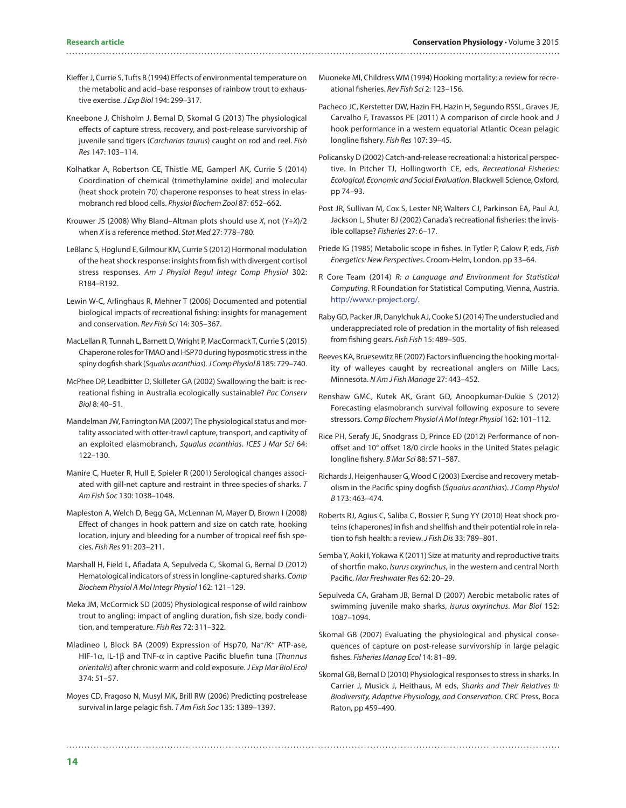- <span id="page-13-9"></span>Kieffer J, Currie S, Tufts B (1994) Effects of environmental temperature on the metabolic and acid–base responses of rainbow trout to exhaustive exercise. *J Exp Biol* 194: 299–317.
- <span id="page-13-26"></span>Kneebone J, Chisholm J, Bernal D, Skomal G (2013) The physiological effects of capture stress, recovery, and post-release survivorship of juvenile sand tigers (*Carcharias taurus*) caught on rod and reel. *Fish Res* 147: 103–114.
- <span id="page-13-16"></span>Kolhatkar A, Robertson CE, Thistle ME, Gamperl AK, Currie S (2014) Coordination of chemical (trimethylamine oxide) and molecular (heat shock protein 70) chaperone responses to heat stress in elasmobranch red blood cells. *Physiol Biochem Zool* 87: 652–662.
- <span id="page-13-17"></span>Krouwer JS (2008) Why Bland–Altman plots should use *X*, not (*Y*+*X*)/2 when *X* is a reference method. *Stat Med* 27: 778–780.
- <span id="page-13-15"></span>LeBlanc S, Höglund E, Gilmour KM, Currie S (2012) Hormonal modulation of the heat shock response: insights from fish with divergent cortisol stress responses. *Am J Physiol Regul Integr Comp Physiol* 302: R184–R192.
- <span id="page-13-2"></span>Lewin W-C, Arlinghaus R, Mehner T (2006) Documented and potential biological impacts of recreational fishing: insights for management and conservation. *Rev Fish Sci* 14: 305–367.
- <span id="page-13-18"></span>MacLellan R, Tunnah L, Barnett D, Wright P, MacCormack T, Currie S (2015) Chaperone roles for TMAO and HSP70 during hyposmotic stress in the spiny dogfish shark (*Squalus acanthias*). *J Comp Physiol B* 185: 729–740.
- <span id="page-13-1"></span>McPhee DP, Leadbitter D, Skilleter GA (2002) Swallowing the bait: is recreational fishing in Australia ecologically sustainable? *Pac Conserv Biol* 8: 40–51.
- <span id="page-13-22"></span>Mandelman JW, Farrington MA (2007) The physiological status and mortality associated with otter-trawl capture, transport, and captivity of an exploited elasmobranch, *Squalus acanthias*. *ICES J Mar Sci* 64: 122–130.
- <span id="page-13-10"></span>Manire C, Hueter R, Hull E, Spieler R (2001) Serological changes associated with gill-net capture and restraint in three species of sharks. *T Am Fish Soc* 130: 1038–1048.
- <span id="page-13-27"></span>Mapleston A, Welch D, Begg GA, McLennan M, Mayer D, Brown I (2008) Effect of changes in hook pattern and size on catch rate, hooking location, injury and bleeding for a number of tropical reef fish species. *Fish Res* 91: 203–211.
- <span id="page-13-21"></span>Marshall H, Field L, Afiadata A, Sepulveda C, Skomal G, Bernal D (2012) Hematological indicators of stress in longline-captured sharks. *Comp Biochem Physiol A Mol Integr Physiol* 162: 121–129.
- <span id="page-13-20"></span>Meka JM, McCormick SD (2005) Physiological response of wild rainbow trout to angling: impact of angling duration, fish size, body condition, and temperature. *Fish Res* 72: 311–322.
- <span id="page-13-23"></span>Mladineo I, Block BA (2009) Expression of Hsp70, Na<sup>+</sup>/K<sup>+</sup> ATP-ase, HIF-1α, IL-1β and TNF-α in captive Pacific bluefin tuna (*Thunnus orientalis*) after chronic warm and cold exposure. *J Exp Mar Biol Ecol* 374: 51–57.
- <span id="page-13-7"></span>Moyes CD, Fragoso N, Musyl MK, Brill RW (2006) Predicting postrelease survival in large pelagic fish. *T Am Fish Soc* 135: 1389–1397.

- <span id="page-13-4"></span>Muoneke MI, Childress WM (1994) Hooking mortality: a review for recreational fisheries. *Rev Fish Sci* 2: 123–156.
- <span id="page-13-28"></span>Pacheco JC, Kerstetter DW, Hazin FH, Hazin H, Segundo RSSL, Graves JE, Carvalho F, Travassos PE (2011) A comparison of circle hook and J hook performance in a western equatorial Atlantic Ocean pelagic longline fishery. *Fish Res* 107: 39–45.
- <span id="page-13-3"></span>Policansky D (2002) Catch-and-release recreational: a historical perspective. In Pitcher TJ, Hollingworth CE, eds, *Recreational Fisheries: Ecological, Economic and Social Evaluation*. Blackwell Science, Oxford, pp 74–93.
- <span id="page-13-0"></span>Post JR, Sullivan M, Cox S, Lester NP, Walters CJ, Parkinson EA, Paul AJ, Jackson L, Shuter BJ (2002) Canada's recreational fisheries: the invisible collapse? *Fisheries* 27: 6–17.
- <span id="page-13-24"></span>Priede IG (1985) Metabolic scope in fishes. In Tytler P, Calow P, eds, *Fish Energetics: New Perspectives*. Croom-Helm, London. pp 33–64.
- <span id="page-13-19"></span>R Core Team (2014) *R: a Language and Environment for Statistical Computing*. R Foundation for Statistical Computing, Vienna, Austria. <http://www.r-project.org/>.
- <span id="page-13-8"></span>Raby GD, Packer JR, Danylchuk AJ, Cooke SJ (2014) The understudied and underappreciated role of predation in the mortality of fish released from fishing gears. *Fish Fish* 15: 489–505.
- <span id="page-13-25"></span>Reeves KA, Bruesewitz RE (2007) Factors influencing the hooking mortality of walleyes caught by recreational anglers on Mille Lacs, Minnesota. *N Am J Fish Manage* 27: 443–452.
- <span id="page-13-30"></span>Renshaw GMC, Kutek AK, Grant GD, Anoopkumar-Dukie S (2012) Forecasting elasmobranch survival following exposure to severe stressors. *Comp Biochem Physiol A Mol Integr Physiol* 162: 101–112.
- <span id="page-13-29"></span>Rice PH, Serafy JE, Snodgrass D, Prince ED (2012) Performance of nonoffset and 10° offset 18/0 circle hooks in the United States pelagic longline fishery. *B Mar Sci* 88: 571–587.
- <span id="page-13-12"></span>Richards J, Heigenhauser G, Wood C (2003) Exercise and recovery metabolism in the Pacific spiny dogfish (*Squalus acanthias*). *J Comp Physiol B* 173: 463–474.
- <span id="page-13-11"></span>Roberts RJ, Agius C, Saliba C, Bossier P, Sung YY (2010) Heat shock proteins (chaperones) in fish and shellfish and their potential role in relation to fish health: a review. *J Fish Dis* 33: 789–801.
- <span id="page-13-5"></span>Semba Y, Aoki I, Yokawa K (2011) Size at maturity and reproductive traits of shortfin mako, *Isurus oxyrinchus*, in the western and central North Pacific. *Mar Freshwater Res* 62: 20–29.
- <span id="page-13-6"></span>Sepulveda CA, Graham JB, Bernal D (2007) Aerobic metabolic rates of swimming juvenile mako sharks, *Isurus oxyrinchus*. *Mar Biol* 152: 1087–1094.
- <span id="page-13-14"></span>Skomal GB (2007) Evaluating the physiological and physical consequences of capture on post-release survivorship in large pelagic fishes. *Fisheries Manag Ecol* 14: 81–89.
- <span id="page-13-13"></span>Skomal GB, Bernal D (2010) Physiological responses to stress in sharks. In Carrier J, Musick J, Heithaus, M eds, *Sharks and Their Relatives II: Biodiversity, Adaptive Physiology, and Conservation*. CRC Press, Boca Raton, pp 459–490.